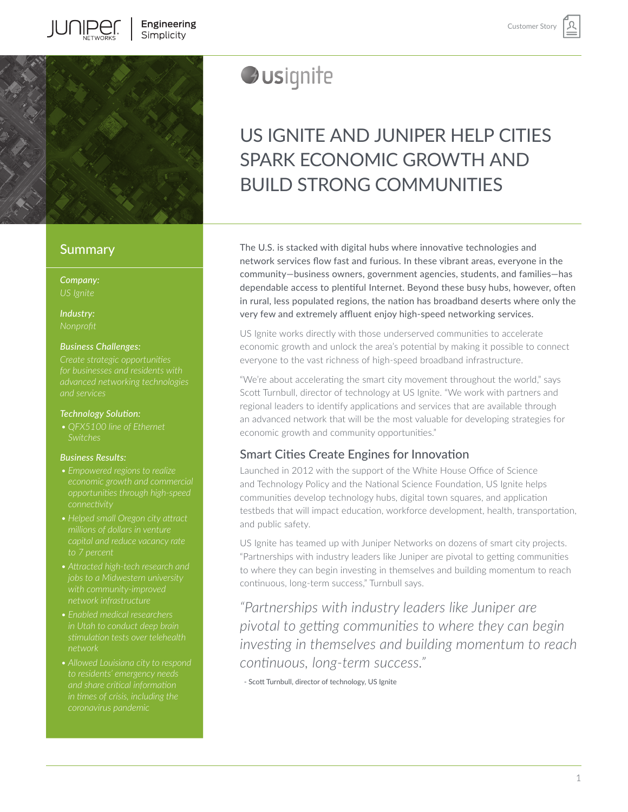

# **Summary**

*Company:*

*Industry:*

### *Business Challenges:*

*Create strategic opportunities and services* 

### *Technology Solution:*

*• QFX5100 line of Ethernet Switches* 

### *Business Results:*

- *• Empowered regions to realize*
- *to 7 percent*
- *• Attracted high-tech research and jobs to a Midwestern university network infrastructure*
- *• Enabled medical researchers in Utah to conduct deep brain*
- *• Allowed Louisiana city to respond in times of crisis, including the coronavirus pandemic*

# *Ausignite*

# US IGNITE AND JUNIPER HELP CITIES SPARK ECONOMIC GROWTH AND BUILD STRONG COMMUNITIES

The U.S. is stacked with digital hubs where innovative technologies and network services flow fast and furious. In these vibrant areas, everyone in the community—business owners, government agencies, students, and families—has dependable access to plentiful Internet. Beyond these busy hubs, however, often in rural, less populated regions, the nation has broadband deserts where only the very few and extremely affluent enjoy high-speed networking services.

US Ignite works directly with those underserved communities to accelerate economic growth and unlock the area's potential by making it possible to connect everyone to the vast richness of high-speed broadband infrastructure.

"We're about accelerating the smart city movement throughout the world," says Scott Turnbull, director of technology at US Ignite. "We work with partners and regional leaders to identify applications and services that are available through an advanced network that will be the most valuable for developing strategies for economic growth and community opportunities."

# Smart Cities Create Engines for Innovation

Launched in 2012 with the support of the White House Office of Science and Technology Policy and the National Science Foundation, US Ignite helps communities develop technology hubs, digital town squares, and application testbeds that will impact education, workforce development, health, transportation, and public safety.

US Ignite has teamed up with Juniper Networks on dozens of smart city projects. "Partnerships with industry leaders like Juniper are pivotal to getting communities to where they can begin investing in themselves and building momentum to reach continuous, long-term success," Turnbull says.

*"Partnerships with industry leaders like Juniper are pivotal to getting communities to where they can begin investing in themselves and building momentum to reach continuous, long-term success."* 

- Scott Turnbull, director of technology, US Ignite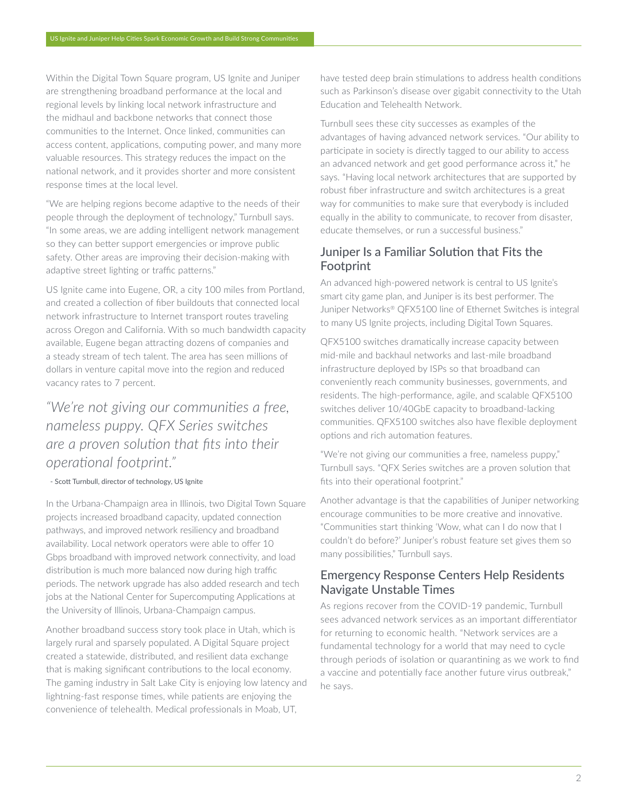Within the [Digital Town Square program,](https://www.us-ignite.org/the-digital-town-square-project/) US Ignite and Juniper are strengthening broadband performance at the local and regional levels by linking local network infrastructure and the midhaul and backbone networks that connect those communities to the Internet. Once linked, communities can access content, applications, computing power, and many more valuable resources. This strategy reduces the impact on the national network, and it provides shorter and more consistent response times at the local level.

"We are helping regions become adaptive to the needs of their people through the deployment of technology," Turnbull says. "In some areas, we are adding intelligent network management so they can better support emergencies or improve public safety. Other areas are improving their decision-making with adaptive street lighting or traffic patterns."

US Ignite came into Eugene, OR, a city 100 miles from Portland, and created a collection of fiber buildouts that connected local network infrastructure to Internet transport routes traveling across Oregon and California. With so much bandwidth capacity available, Eugene began attracting dozens of companies and a steady stream of tech talent. The area has seen millions of dollars in venture capital move into the region and reduced vacancy rates to 7 percent.

# *"We're not giving our communities a free, nameless puppy. QFX Series switches are a proven solution that fits into their operational footprint."*

### - Scott Turnbull, director of technology, US Ignite

In the Urbana-Champaign area in Illinois, two Digital Town Square projects increased broadband capacity, updated connection pathways, and improved network resiliency and broadband availability. Local network operators were able to offer 10 Gbps broadband with improved network connectivity, and load distribution is much more balanced now during high traffic periods. The network upgrade has also added research and tech jobs at the National Center for Supercomputing Applications at the University of Illinois, Urbana-Champaign campus.

Another broadband success story took place in Utah, which is largely rural and sparsely populated. A Digital Square project created a statewide, distributed, and resilient data exchange that is making significant contributions to the local economy. The gaming industry in Salt Lake City is enjoying low latency and lightning-fast response times, while patients are enjoying the convenience of telehealth. Medical professionals in Moab, UT,

have tested deep brain stimulations to address health conditions such as Parkinson's disease over gigabit connectivity to the Utah Education and Telehealth Network.

Turnbull sees these city successes as examples of the advantages of having advanced network services. "Our ability to participate in society is directly tagged to our ability to access an advanced network and get good performance across it," he says. "Having local network architectures that are supported by robust fiber infrastructure and switch architectures is a great way for communities to make sure that everybody is included equally in the ability to communicate, to recover from disaster, educate themselves, or run a successful business."

# Juniper Is a Familiar Solution that Fits the Footprint

An advanced high-powered network is central to US Ignite's smart city game plan, and Juniper is its best performer. The Juniper Networks® QFX5100 line of Ethernet Switches is integral to many US Ignite projects, including Digital Town Squares.

QFX5100 switches dramatically increase capacity between mid-mile and backhaul networks and last-mile broadband infrastructure deployed by ISPs so that broadband can conveniently reach community businesses, governments, and residents. The high-performance, agile, and scalable QFX5100 switches deliver 10/40GbE capacity to broadband-lacking communities. QFX5100 switches also have flexible deployment options and rich automation features.

"We're not giving our communities a free, nameless puppy," Turnbull says. "QFX Series switches are a proven solution that fits into their operational footprint."

Another advantage is that the capabilities of Juniper networking encourage communities to be more creative and innovative. "Communities start thinking 'Wow, what can I do now that I couldn't do before?' Juniper's robust feature set gives them so many possibilities," Turnbull says.

## Emergency Response Centers Help Residents Navigate Unstable Times

As regions recover from the COVID-19 pandemic, Turnbull sees advanced network services as an important differentiator for returning to economic health. "Network services are a fundamental technology for a world that may need to cycle through periods of isolation or quarantining as we work to find a vaccine and potentially face another future virus outbreak," he says.